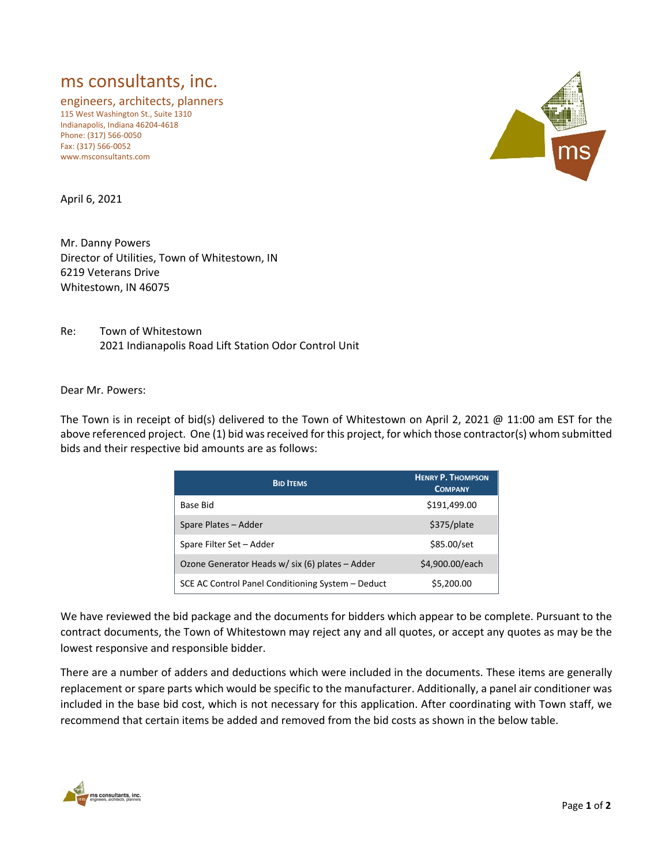## ms consultants, inc.

engineers, architects, planners 115 West Washington St., Suite 1310 Indianapolis, Indiana 46204‐4618 Phone: (317) 566‐0050 Fax: (317) 566‐0052 www.msconsultants.com



April 6, 2021

Mr. Danny Powers Director of Utilities, Town of Whitestown, IN 6219 Veterans Drive Whitestown, IN 46075

Re: Town of Whitestown 2021 Indianapolis Road Lift Station Odor Control Unit

### Dear Mr. Powers:

The Town is in receipt of bid(s) delivered to the Town of Whitestown on April 2, 2021 @ 11:00 am EST for the above referenced project. One (1) bid was received for this project, for which those contractor(s) whom submitted bids and their respective bid amounts are as follows:

| <b>BID ITEMS</b>                                  | <b>HENRY P. THOMPSON</b><br><b>COMPANY</b> |
|---------------------------------------------------|--------------------------------------------|
| Base Bid                                          | \$191,499.00                               |
| Spare Plates - Adder                              | \$375/plate                                |
| Spare Filter Set - Adder                          | \$85.00/set                                |
| Ozone Generator Heads w/ six (6) plates - Adder   | \$4,900.00/each                            |
| SCE AC Control Panel Conditioning System - Deduct | \$5,200.00                                 |

We have reviewed the bid package and the documents for bidders which appear to be complete. Pursuant to the contract documents, the Town of Whitestown may reject any and all quotes, or accept any quotes as may be the lowest responsive and responsible bidder.

There are a number of adders and deductions which were included in the documents. These items are generally replacement or spare parts which would be specific to the manufacturer. Additionally, a panel air conditioner was included in the base bid cost, which is not necessary for this application. After coordinating with Town staff, we recommend that certain items be added and removed from the bid costs as shown in the below table.

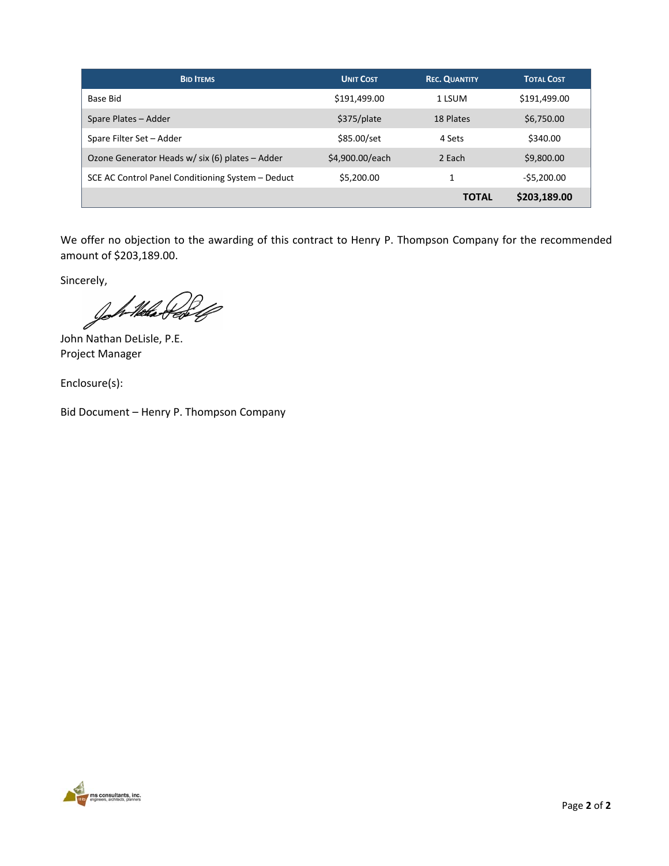| <b>BID ITEMS</b>                                  | <b>UNIT COST</b> | <b>REC. QUANTITY</b> | <b>TOTAL COST</b> |
|---------------------------------------------------|------------------|----------------------|-------------------|
| Base Bid                                          | \$191,499.00     | 1 LSUM               | \$191,499.00      |
| Spare Plates - Adder                              | \$375/plate      | 18 Plates            | \$6,750.00        |
| Spare Filter Set - Adder                          | \$85.00/set      | 4 Sets               | \$340.00          |
| Ozone Generator Heads w/ six (6) plates - Adder   | \$4,900.00/each  | 2 Each               | \$9,800.00        |
| SCE AC Control Panel Conditioning System - Deduct | \$5,200.00       |                      | $-$ \$5,200.00    |
|                                                   |                  | <b>TOTAL</b>         | \$203,189.00      |

We offer no objection to the awarding of this contract to Henry P. Thompson Company for the recommended amount of \$203,189.00.

Sincerely,

h-Nobel

John Nathan DeLisle, P.E. Project Manager

Enclosure(s):

Bid Document – Henry P. Thompson Company

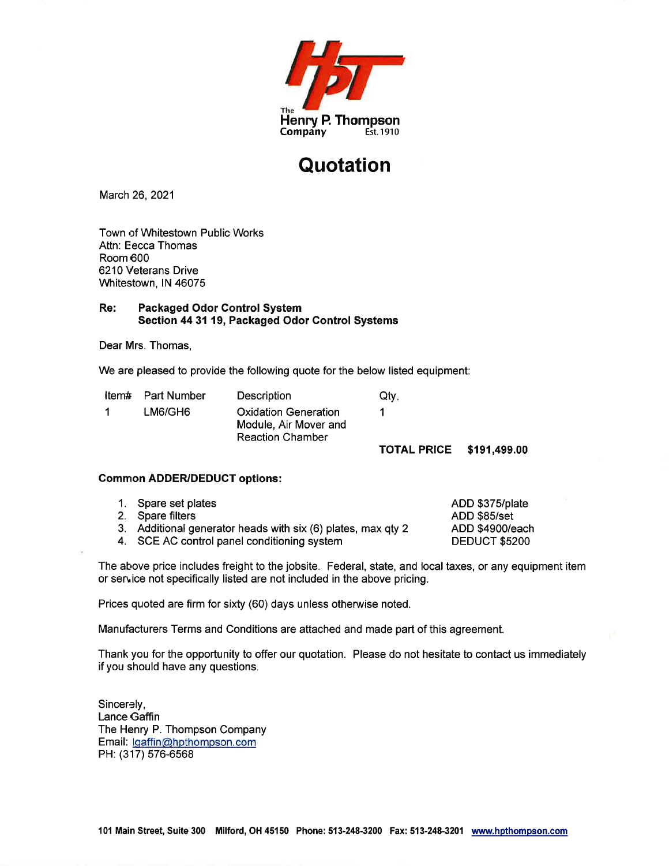

# Quotation

March 26, 2021

Town of Whitestown Public Works Attn: Eecca Thomas Room 600 6210 Veterans Drive Whitestown, IN 46075

#### Re: **Packaged Odor Control System** Section 44 31 19, Packaged Odor Control Systems

Dear Mrs. Thomas.

We are pleased to provide the following quote for the below listed equipment:

|             | ltem# Part Number | Description                                                                     | Qtv.                            |  |
|-------------|-------------------|---------------------------------------------------------------------------------|---------------------------------|--|
| $\mathbf 1$ | LM6/GH6           | <b>Oxidation Generation</b><br>Module, Air Mover and<br><b>Reaction Chamber</b> |                                 |  |
|             |                   |                                                                                 | <b>TOTAL PRICE \$191,499.00</b> |  |

### **Common ADDER/DEDUCT options:**

| 1. Spare set plates                                          | ADD \$375/plate      |
|--------------------------------------------------------------|----------------------|
| 2. Spare filters                                             | ADD \$85/set         |
| 3. Additional generator heads with six (6) plates, max qty 2 | ADD \$4900/each      |
| 4. SCE AC control panel conditioning system                  | <b>DEDUCT \$5200</b> |

The above price includes freight to the jobsite. Federal, state, and local taxes, or any equipment item or service not specifically listed are not included in the above pricing.

Prices quoted are firm for sixty (60) days unless otherwise noted.

Manufacturers Terms and Conditions are attached and made part of this agreement.

Thank you for the opportunity to offer our quotation. Please do not hesitate to contact us immediately if you should have any questions.

Sincerely, Lance Gaffin The Henry P. Thompson Company Email: Igaffin@hpthompson.com PH: (317) 576-6568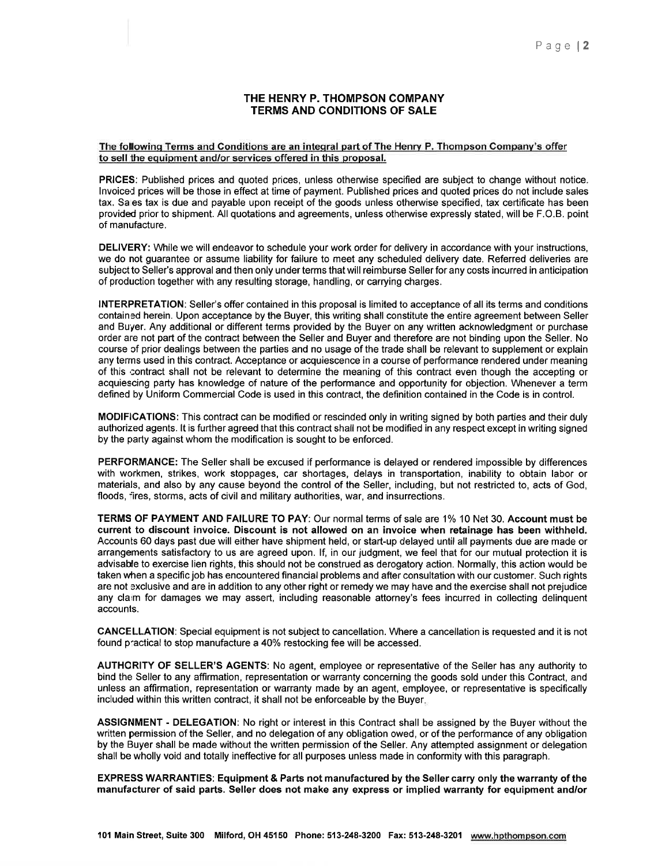#### THE HENRY P. THOMPSON COMPANY **TERMS AND CONDITIONS OF SALE**

#### The following Terms and Conditions are an integral part of The Henry P. Thompson Company's offer to sell the equipment and/or services offered in this proposal.

PRICES: Published prices and quoted prices, unless otherwise specified are subject to change without notice. Invoiced prices will be those in effect at time of payment. Published prices and quoted prices do not include sales tax. Sales tax is due and payable upon receipt of the goods unless otherwise specified, tax certificate has been provided prior to shipment. All quotations and agreements, unless otherwise expressly stated, will be F.O.B. point of manufacture.

DELIVERY: While we will endeavor to schedule your work order for delivery in accordance with your instructions, we do not guarantee or assume liability for failure to meet any scheduled delivery date. Referred deliveries are subject to Seller's approval and then only under terms that will reimburse Seller for any costs incurred in anticipation of production together with any resulting storage, handling, or carrying charges.

INTERPRETATION: Seller's offer contained in this proposal is limited to acceptance of all its terms and conditions contained herein. Upon acceptance by the Buyer, this writing shall constitute the entire agreement between Seller and Buyer. Any additional or different terms provided by the Buyer on any written acknowledgment or purchase order are not part of the contract between the Seller and Buyer and therefore are not binding upon the Seller. No course of prior dealings between the parties and no usage of the trade shall be relevant to supplement or explain any terms used in this contract. Acceptance or acquiescence in a course of performance rendered under meaning of this contract shall not be relevant to determine the meaning of this contract even though the accepting or acquiescing party has knowledge of nature of the performance and opportunity for objection. Whenever a term defined by Uniform Commercial Code is used in this contract, the definition contained in the Code is in control.

MODIFICATIONS: This contract can be modified or rescinded only in writing signed by both parties and their duly authorized agents. It is further agreed that this contract shall not be modified in any respect except in writing signed by the party against whom the modification is sought to be enforced.

PERFORMANCE: The Seller shall be excused if performance is delayed or rendered impossible by differences with workmen, strikes, work stoppages, car shortages, delays in transportation, inability to obtain labor or materials, and also by any cause beyond the control of the Seller, including, but not restricted to, acts of God, floods, fires, storms, acts of civil and military authorities, war, and insurrections.

TERMS OF PAYMENT AND FAILURE TO PAY: Our normal terms of sale are 1% 10 Net 30. Account must be current to discount invoice. Discount is not allowed on an invoice when retainage has been withheld. Accounts 60 days past due will either have shipment held, or start-up delayed until all payments due are made or arrangements satisfactory to us are agreed upon. If, in our judgment, we feel that for our mutual protection it is advisable to exercise lien rights, this should not be construed as derogatory action. Normally, this action would be taken when a specific job has encountered financial problems and after consultation with our customer. Such rights are not exclusive and are in addition to any other right or remedy we may have and the exercise shall not prejudice any claim for damages we may assert, including reasonable attorney's fees incurred in collecting delinguent accounts.

CANCELLATION: Special equipment is not subject to cancellation. Where a cancellation is requested and it is not found practical to stop manufacture a 40% restocking fee will be accessed.

AUTHCRITY OF SELLER'S AGENTS: No agent, employee or representative of the Seller has any authority to bind the Seller to any affirmation, representation or warranty concerning the goods sold under this Contract, and unless an affirmation, representation or warranty made by an agent, employee, or representative is specifically included within this written contract, it shall not be enforceable by the Buyer.

ASSIGNMENT - DELEGATION: No right or interest in this Contract shall be assigned by the Buyer without the written permission of the Seller, and no delegation of any obligation owed, or of the performance of any obligation by the Buyer shall be made without the written permission of the Seller. Any attempted assignment or delegation shall be wholly void and totally ineffective for all purposes unless made in conformity with this paragraph.

EXPRESS WARRANTIES: Equipment & Parts not manufactured by the Seller carry only the warranty of the manufacturer of said parts. Seller does not make any express or implied warranty for equipment and/or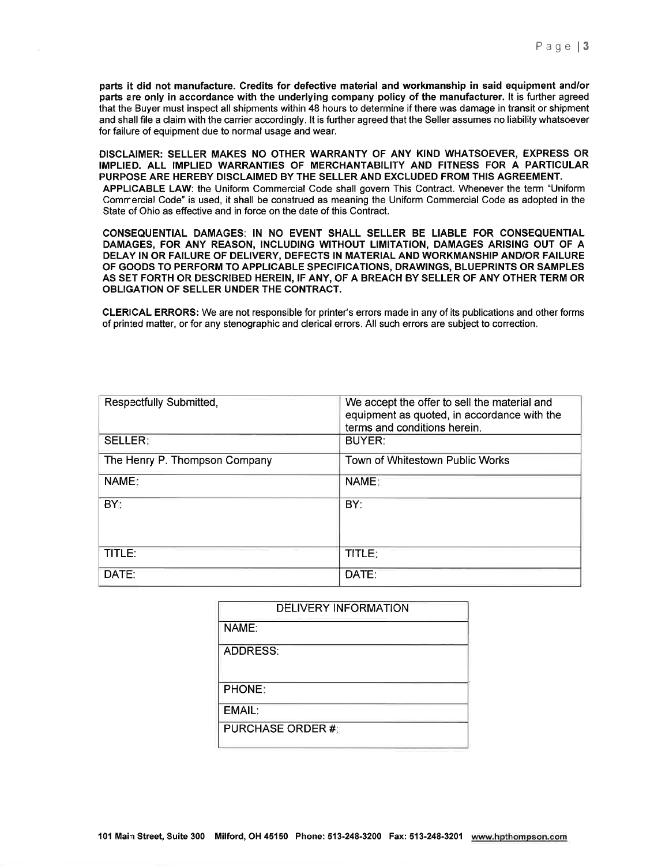parts it did not manufacture. Credits for defective material and workmanship in said equipment and/or parts are only in accordance with the underlying company policy of the manufacturer. It is further agreed that the Buyer must inspect all shipments within 48 hours to determine if there was damage in transit or shipment and shall file a claim with the carrier accordingly. It is further agreed that the Seller assumes no liability whatsoever for failure of equipment due to normal usage and wear.

DISCLAIMER: SELLER MAKES NO OTHER WARRANTY OF ANY KIND WHATSOEVER, EXPRESS OR IMPLIED. ALL IMPLIED WARRANTIES OF MERCHANTABILITY AND FITNESS FOR A PARTICULAR PURPOSE ARE HEREBY DISCLAIMED BY THE SELLER AND EXCLUDED FROM THIS AGREEMENT. APPLICABLE LAW: the Uniform Commercial Code shall govern This Contract. Whenever the term "Uniform Commercial Code" is used, it shall be construed as meaning the Uniform Commercial Code as adopted in the State of Ohio as effective and in force on the date of this Contract.

CONSEQUENTIAL DAMAGES: IN NO EVENT SHALL SELLER BE LIABLE FOR CONSEQUENTIAL DAMAGES, FOR ANY REASON, INCLUDING WITHOUT LIMITATION, DAMAGES ARISING OUT OF A DELAY IN OR FAILURE OF DELIVERY, DEFECTS IN MATERIAL AND WORKMANSHIP AND/OR FAILURE OF GOODS TO PERFORM TO APPLICABLE SPECIFICATIONS, DRAWINGS, BLUEPRINTS OR SAMPLES AS SET FORTH OR DESCRIBED HEREIN, IF ANY, OF A BREACH BY SELLER OF ANY OTHER TERM OR OBLIGATION OF SELLER UNDER THE CONTRACT.

CLERICAL ERRORS: We are not responsible for printer's errors made in any of its publications and other forms of printed matter, or for any stenographic and clerical errors. All such errors are subject to correction.

| Respectfully Submitted,       | We accept the offer to sell the material and<br>equipment as quoted, in accordance with the<br>terms and conditions herein. |
|-------------------------------|-----------------------------------------------------------------------------------------------------------------------------|
| <b>SELLER:</b>                | <b>BUYER:</b>                                                                                                               |
| The Henry P. Thompson Company | Town of Whitestown Public Works                                                                                             |
| NAME:                         | NAME:                                                                                                                       |
| BY:                           | BY:                                                                                                                         |
| TITLE:                        | TITLE:                                                                                                                      |
| DATE:                         | DATE:                                                                                                                       |

| <b>DELIVERY INFORMATION</b> |  |
|-----------------------------|--|
| NAME:                       |  |
| <b>ADDRESS:</b>             |  |
| <b>PHONE:</b>               |  |
| EMAIL:                      |  |
| <b>PURCHASE ORDER #:</b>    |  |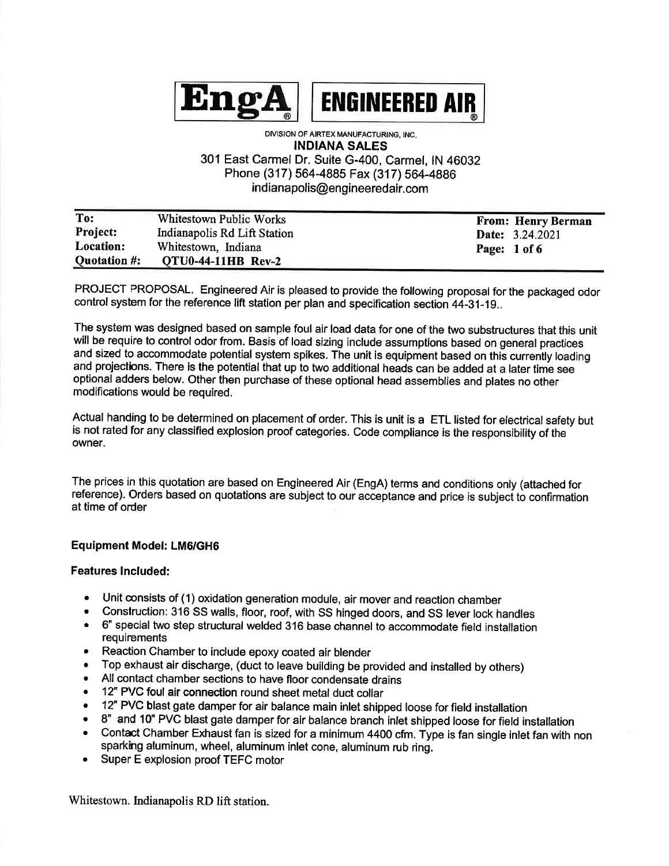



## DIVISION OF AIRTEX MANUFACTURING, INC. **INDIANA SALES** 301 East Carmel Dr. Suite G-400, Carmel, IN 46032 Phone (317) 564-4885 Fax (317) 564-4886

indianapolis@engineeredair.com

| To:             | Whitestown Public Works      | <b>From: Henry Berman</b> |
|-----------------|------------------------------|---------------------------|
| <b>Project:</b> | Indianapolis Rd Lift Station | <b>Date:</b> 3.24.2021    |
| Location:       | Whitestown, Indiana          | Page: 1 of 6              |
| Quotation #:    | <b>QTU0-44-11HB Rev-2</b>    |                           |

PROJECT PROPOSAL. Engineered Air is pleased to provide the following proposal for the packaged odor control system for the reference lift station per plan and specification section 44-31-19.

The system was designed based on sample foul air load data for one of the two substructures that this unit will be require to control odor from. Basis of load sizing include assumptions based on general practices and sized to accommodate potential system spikes. The unit is equipment based on this currently loading and projections. There is the potential that up to two additional heads can be added at a later time see optional adders below. Other then purchase of these optional head assemblies and plates no other modifications would be required.

Actual handing to be determined on placement of order. This is unit is a ETL listed for electrical safety but is not rated for any classified explosion proof categories. Code compliance is the responsibility of the owner.

The prices in this quotation are based on Engineered Air (EngA) terms and conditions only (attached for reference). Orders based on quotations are subject to our acceptance and price is subject to confirmation at time of order

### **Equipment Model: LM6/GH6**

### **Features Included:**

- Unit consists of (1) oxidation generation module, air mover and reaction chamber
- Construction: 316 SS walls, floor, roof, with SS hinged doors, and SS lever lock handles
- 6" special two step structural welded 316 base channel to accommodate field installation requirements
- Reaction Chamber to include epoxy coated air blender  $\bullet$
- $\bullet$ Top exhaust air discharge, (duct to leave building be provided and installed by others)
- All contact chamber sections to have floor condensate drains  $\bullet$
- 12" PVC foul air connection round sheet metal duct collar  $\bullet$
- 12" PVC blast gate damper for air balance main inlet shipped loose for field installation  $\bullet$
- 8" and 10" PVC blast gate damper for air balance branch inlet shipped loose for field installation
- Contact Chamber Exhaust fan is sized for a minimum 4400 cfm. Type is fan single inlet fan with non sparking aluminum, wheel, aluminum inlet cone, aluminum rub ring.
- Super E explosion proof TEFC motor

Whitestown. Indianapolis RD lift station.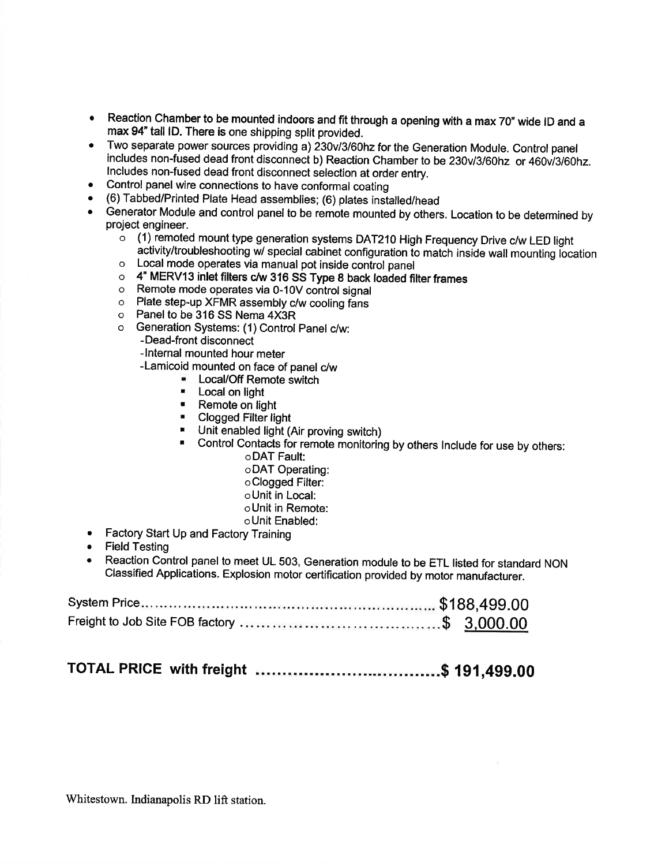- Reaction Chamber to be mounted indoors and fit through a opening with a max 70" wide ID and a max 94" tall ID. There is one shipping split provided.
- Two separate power sources providing a) 230v/3/60hz for the Generation Module. Control panel includes non-fused dead front disconnect b) Reaction Chamber to be 230v/3/60hz or 460v/3/60hz. Includes non-fused dead front disconnect selection at order entry.
- Control panel wire connections to have conformal coating
- (6) Tabbed/Printed Plate Head assemblies; (6) plates installed/head
- Generator Module and control panel to be remote mounted by others. Location to be determined by project engineer.
	- o (1) remoted mount type generation systems DAT210 High Frequency Drive c/w LED light activity/troubleshooting w/ special cabinet configuration to match inside wall mounting location
	- o Local mode operates via manual pot inside control panel
	- o 4" MERV13 inlet filters c/w 316 SS Type 8 back loaded filter frames
	- o Remote mode operates via 0-10V control signal
	- o Plate step-up XFMR assembly c/w cooling fans
	- o Panel to be 316 SS Nema 4X3R
	- o Generation Systems: (1) Control Panel c/w:
		- -Dead-front disconnect
		- -Internal mounted hour meter
		- -Lamicoid mounted on face of panel c/w
			- Local/Off Remote switch
				- **E** Local on light
				- Remote on light
				- Clogged Filter light
			- Unit enabled light (Air proving switch)
			- Control Contacts for remote monitoring by others Include for use by others: oDAT Fault:
				- oDAT Operating:
				- o Clogged Filter:
				- o Unit in Local:
				- o Unit in Remote:
				- oUnit Enabled:
- Factory Start Up and Factory Training
- **Field Testing**  $\bullet$
- Reaction Control panel to meet UL 503, Generation module to be ETL listed for standard NON Classified Applications. Explosion motor certification provided by motor manufacturer.

##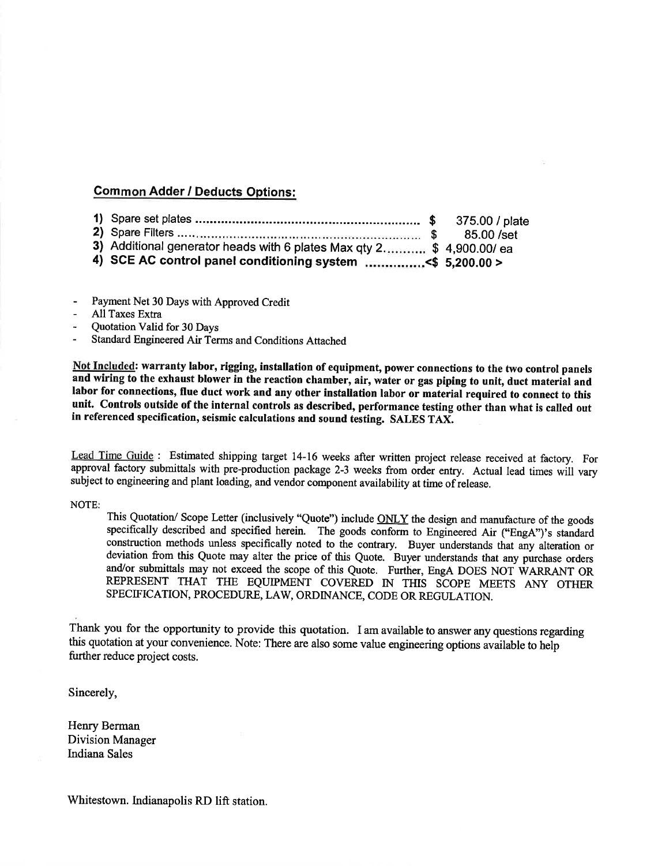### **Common Adder / Deducts Options:**

- 375.00 / plate 85.00 /set 3) Additional generator heads with 6 plates Max qty 2............ \$ 4,900.00/ ea 4) SCE AC control panel conditioning system ....................<\$ 5,200.00 >
- Payment Net 30 Days with Approved Credit
- All Taxes Extra
- **Ouotation Valid for 30 Days**
- Standard Engineered Air Terms and Conditions Attached

Not Included: warranty labor, rigging, installation of equipment, power connections to the two control panels and wiring to the exhaust blower in the reaction chamber, air, water or gas piping to unit, duct material and labor for connections, flue duct work and any other installation labor or material required to connect to this unit. Controls outside of the internal controls as described, performance testing other than what is called out in referenced specification, seismic calculations and sound testing. SALES TAX.

Lead Time Guide: Estimated shipping target 14-16 weeks after written project release received at factory. For approval factory submittals with pre-production package 2-3 weeks from order entry. Actual lead times will vary subject to engineering and plant loading, and vendor component availability at time of release.

NOTE:

This Quotation/ Scope Letter (inclusively "Quote") include ONLY the design and manufacture of the goods specifically described and specified herein. The goods conform to Engineered Air ("EngA")'s standard construction methods unless specifically noted to the contrary. Buyer understands that any alteration or deviation from this Quote may alter the price of this Quote. Buyer understands that any purchase orders and/or submittals may not exceed the scope of this Quote. Further, EngA DOES NOT WARRANT OR REPRESENT THAT THE EQUIPMENT COVERED IN THIS SCOPE MEETS ANY OTHER SPECIFICATION, PROCEDURE, LAW, ORDINANCE, CODE OR REGULATION.

Thank you for the opportunity to provide this quotation. I am available to answer any questions regarding this quotation at your convenience. Note: There are also some value engineering options available to help further reduce project costs.

Sincerely,

Henry Berman **Division Manager Indiana Sales** 

Whitestown. Indianapolis RD lift station.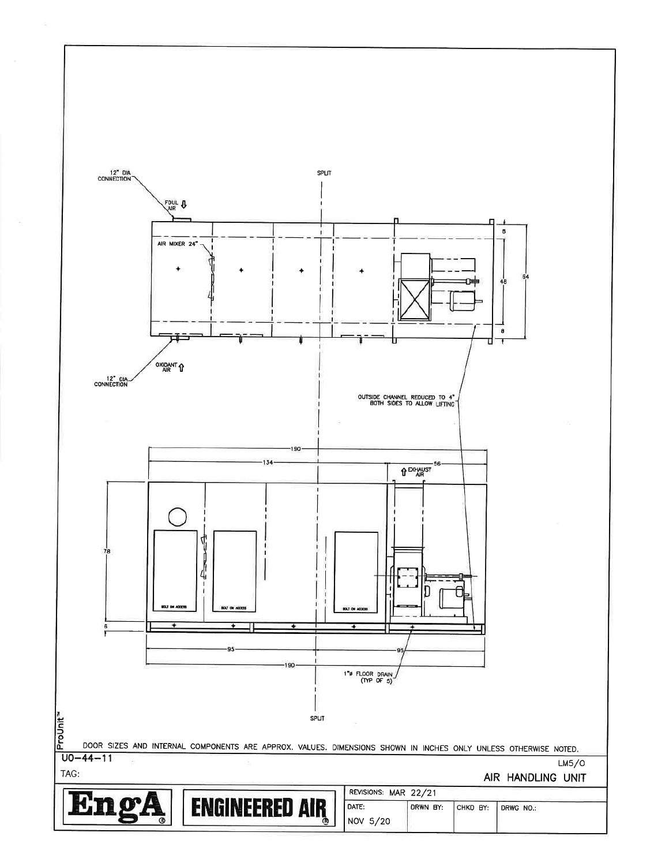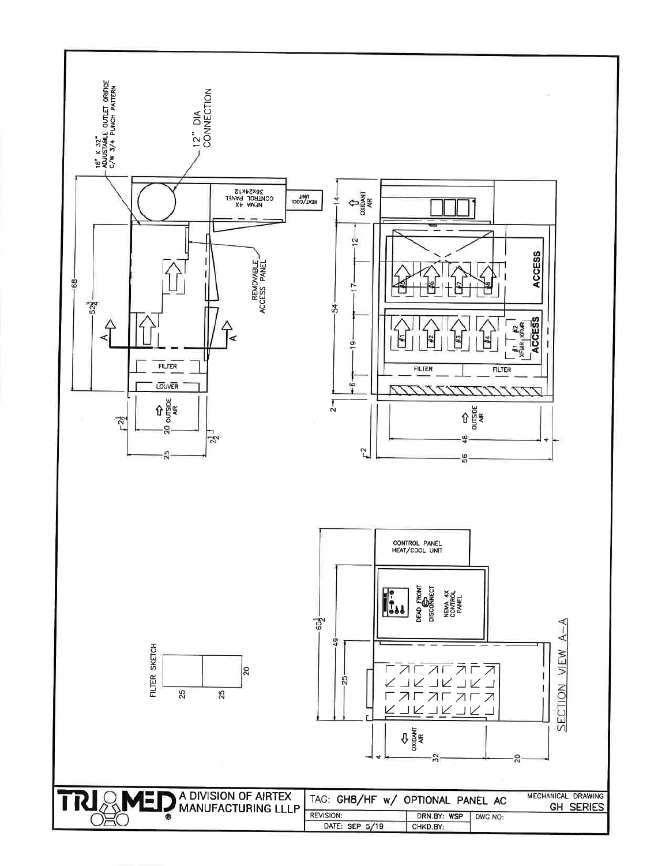